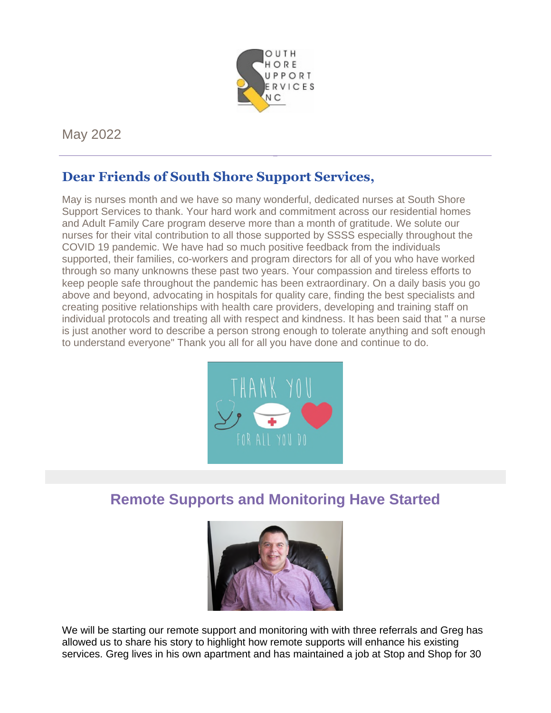

May 2022

# **Dear Friends of South Shore Support Services,**

May is nurses month and we have so many wonderful, dedicated nurses at South Shore Support Services to thank. Your hard work and commitment across our residential homes and Adult Family Care program deserve more than a month of gratitude. We solute our nurses for their vital contribution to all those supported by SSSS especially throughout the COVID 19 pandemic. We have had so much positive feedback from the individuals supported, their families, co-workers and program directors for all of you who have worked through so many unknowns these past two years. Your compassion and tireless efforts to keep people safe throughout the pandemic has been extraordinary. On a daily basis you go above and beyond, advocating in hospitals for quality care, finding the best specialists and creating positive relationships with health care providers, developing and training staff on individual protocols and treating all with respect and kindness. It has been said that " a nurse is just another word to describe a person strong enough to tolerate anything and soft enough to understand everyone" Thank you all for all you have done and continue to do.



# **Remote Supports and Monitoring Have Started**



We will be starting our remote support and monitoring with with three referrals and Greg has allowed us to share his story to highlight how remote supports will enhance his existing services. Greg lives in his own apartment and has maintained a job at Stop and Shop for 30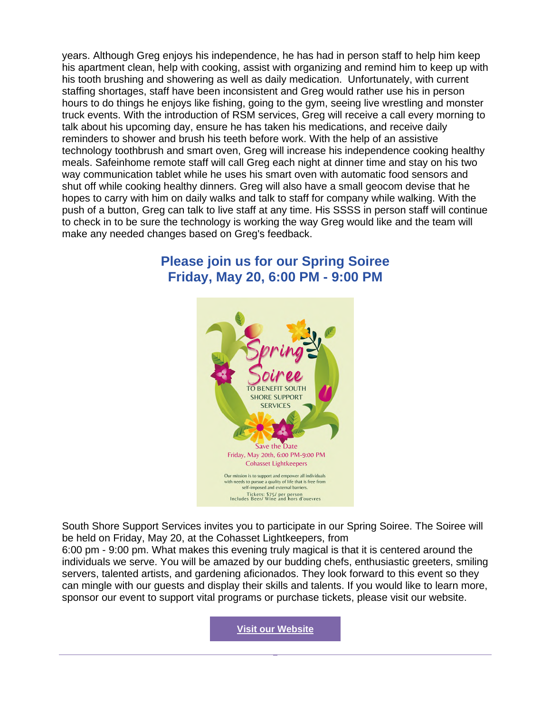years. Although Greg enjoys his independence, he has had in person staff to help him keep his apartment clean, help with cooking, assist with organizing and remind him to keep up with his tooth brushing and showering as well as daily medication. Unfortunately, with current staffing shortages, staff have been inconsistent and Greg would rather use his in person hours to do things he enjoys like fishing, going to the gym, seeing live wrestling and monster truck events. With the introduction of RSM services, Greg will receive a call every morning to talk about his upcoming day, ensure he has taken his medications, and receive daily reminders to shower and brush his teeth before work. With the help of an assistive technology toothbrush and smart oven, Greg will increase his independence cooking healthy meals. Safeinhome remote staff will call Greg each night at dinner time and stay on his two way communication tablet while he uses his smart oven with automatic food sensors and shut off while cooking healthy dinners. Greg will also have a small geocom devise that he hopes to carry with him on daily walks and talk to staff for company while walking. With the push of a button, Greg can talk to live staff at any time. His SSSS in person staff will continue to check in to be sure the technology is working the way Greg would like and the team will make any needed changes based on Greg's feedback.

# **Please join us for our Spring Soiree Friday, May 20, 6:00 PM - 9:00 PM**



South Shore Support Services invites you to participate in our Spring Soiree. The Soiree will be held on Friday, May 20, at the Cohasset Lightkeepers, from 6:00 pm - 9:00 pm. What makes this evening truly magical is that it is centered around the individuals we serve. You will be amazed by our budding chefs, enthusiastic greeters, smiling servers, talented artists, and gardening aficionados. They look forward to this event so they can mingle with our guests and display their skills and talents. If you would like to learn more, sponsor our event to support vital programs or purchase tickets, please visit our website.

**Visit our Website**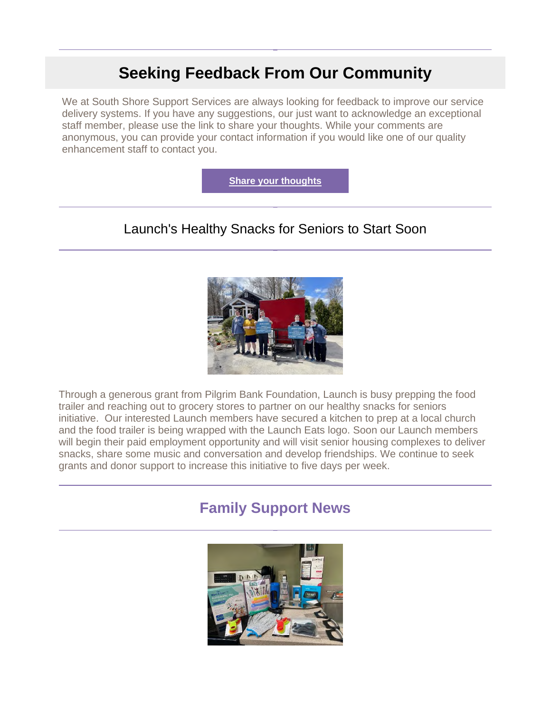# **Seeking Feedback From Our Community**

We at South Shore Support Services are always looking for feedback to improve our service delivery systems. If you have any suggestions, our just want to acknowledge an exceptional staff member, please use the link to share your thoughts. While your comments are anonymous, you can provide your contact information if you would like one of our quality enhancement staff to contact you.

**Share your thoughts**

# Launch's Healthy Snacks for Seniors to Start Soon



Through a generous grant from Pilgrim Bank Foundation, Launch is busy prepping the food trailer and reaching out to grocery stores to partner on our healthy snacks for seniors initiative. Our interested Launch members have secured a kitchen to prep at a local church and the food trailer is being wrapped with the Launch Eats logo. Soon our Launch members will begin their paid employment opportunity and will visit senior housing complexes to deliver snacks, share some music and conversation and develop friendships. We continue to seek grants and donor support to increase this initiative to five days per week.

# **Family Support News**

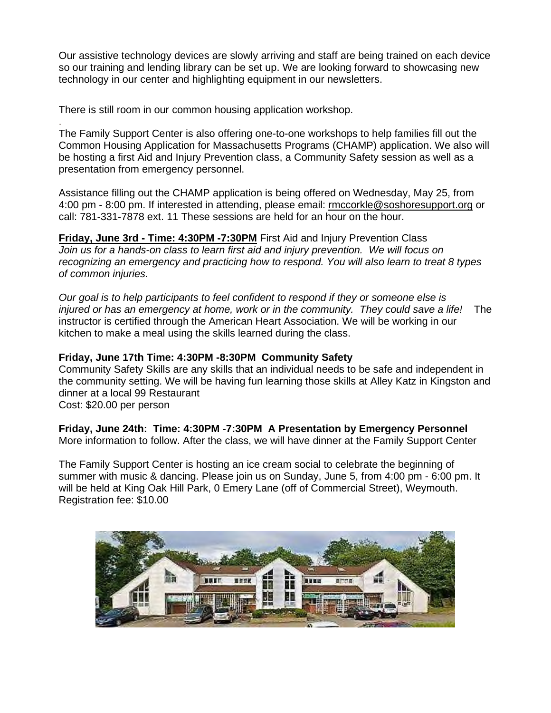Our assistive technology devices are slowly arriving and staff are being trained on each device so our training and lending library can be set up. We are looking forward to showcasing new technology in our center and highlighting equipment in our newsletters.

There is still room in our common housing application workshop.

. The Family Support Center is also offering one-to-one workshops to help families fill out the Common Housing Application for Massachusetts Programs (CHAMP) application. We also will be hosting a first Aid and Injury Prevention class, a Community Safety session as well as a presentation from emergency personnel.

Assistance filling out the CHAMP application is being offered on Wednesday, May 25, from 4:00 pm - 8:00 pm. If interested in attending, please email: rmccorkle@soshoresupport.org or call: 781-331-7878 ext. 11 These sessions are held for an hour on the hour.

**Friday, June 3rd - Time: 4:30PM -7:30PM** First Aid and Injury Prevention Class *Join us for a hands-on class to learn first aid and injury prevention. We will focus on recognizing an emergency and practicing how to respond. You will also learn to treat 8 types of common injuries.*

*Our goal is to help participants to feel confident to respond if they or someone else is injured or has an emergency at home, work or in the community. They could save a life!* The instructor is certified through the American Heart Association. We will be working in our kitchen to make a meal using the skills learned during the class.

#### **Friday, June 17th Time: 4:30PM -8:30PM Community Safety**

Community Safety Skills are any skills that an individual needs to be safe and independent in the community setting. We will be having fun learning those skills at Alley Katz in Kingston and dinner at a local 99 Restaurant

Cost: \$20.00 per person

**Friday, June 24th: Time: 4:30PM -7:30PM A Presentation by Emergency Personnel** More information to follow. After the class, we will have dinner at the Family Support Center

The Family Support Center is hosting an ice cream social to celebrate the beginning of summer with music & dancing. Please join us on Sunday, June 5, from 4:00 pm - 6:00 pm. It will be held at King Oak Hill Park, 0 Emery Lane (off of Commercial Street), Weymouth. Registration fee: \$10.00

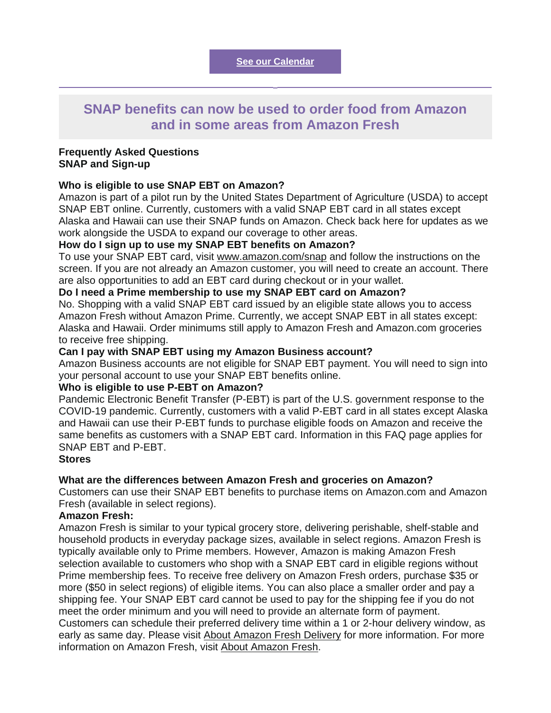# **SNAP benefits can now be used to order food from Amazon and in some areas from Amazon Fresh**

#### **Frequently Asked Questions SNAP and Sign-up**

#### **Who is eligible to use SNAP EBT on Amazon?**

Amazon is part of a pilot run by the United States Department of Agriculture (USDA) to accept SNAP EBT online. Currently, customers with a valid SNAP EBT card in all states except Alaska and Hawaii can use their SNAP funds on Amazon. Check back here for updates as we work alongside the USDA to expand our coverage to other areas.

#### **How do I sign up to use my SNAP EBT benefits on Amazon?**

To use your SNAP EBT card, visit www.amazon.com/snap and follow the instructions on the screen. If you are not already an Amazon customer, you will need to create an account. There are also opportunities to add an EBT card during checkout or in your wallet.

#### **Do I need a Prime membership to use my SNAP EBT card on Amazon?**

No. Shopping with a valid SNAP EBT card issued by an eligible state allows you to access Amazon Fresh without Amazon Prime. Currently, we accept SNAP EBT in all states except: Alaska and Hawaii. Order minimums still apply to Amazon Fresh and Amazon.com groceries to receive free shipping.

#### **Can I pay with SNAP EBT using my Amazon Business account?**

Amazon Business accounts are not eligible for SNAP EBT payment. You will need to sign into your personal account to use your SNAP EBT benefits online.

#### **Who is eligible to use P-EBT on Amazon?**

Pandemic Electronic Benefit Transfer (P-EBT) is part of the U.S. government response to the COVID-19 pandemic. Currently, customers with a valid P-EBT card in all states except Alaska and Hawaii can use their P-EBT funds to purchase eligible foods on Amazon and receive the same benefits as customers with a SNAP EBT card. Information in this FAQ page applies for SNAP EBT and P-EBT.

#### **Stores**

#### **What are the differences between Amazon Fresh and groceries on Amazon?**

Customers can use their SNAP EBT benefits to purchase items on Amazon.com and Amazon Fresh (available in select regions).

#### **Amazon Fresh:**

Amazon Fresh is similar to your typical grocery store, delivering perishable, shelf-stable and household products in everyday package sizes, available in select regions. Amazon Fresh is typically available only to Prime members. However, Amazon is making Amazon Fresh selection available to customers who shop with a SNAP EBT card in eligible regions without Prime membership fees. To receive free delivery on Amazon Fresh orders, purchase \$35 or more (\$50 in select regions) of eligible items. You can also place a smaller order and pay a shipping fee. Your SNAP EBT card cannot be used to pay for the shipping fee if you do not meet the order minimum and you will need to provide an alternate form of payment. Customers can schedule their preferred delivery time within a 1 or 2-hour delivery window, as early as same day. Please visit About Amazon Fresh Delivery for more information. For more information on Amazon Fresh, visit About Amazon Fresh.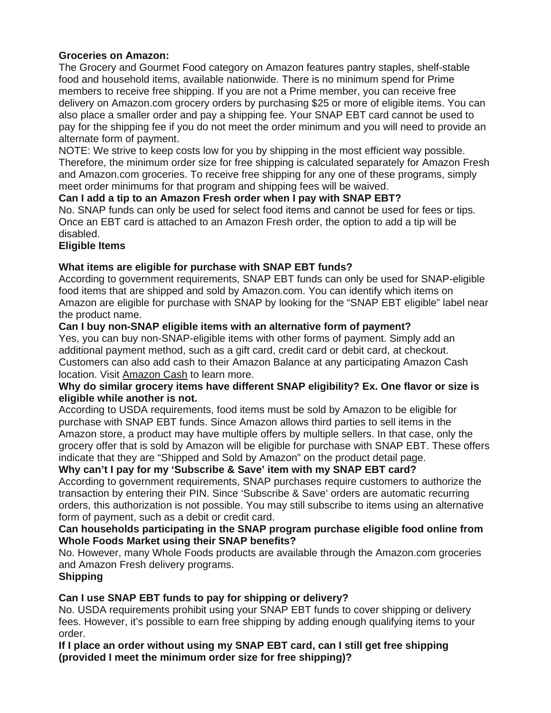## **Groceries on Amazon:**

The Grocery and Gourmet Food category on Amazon features pantry staples, shelf-stable food and household items, available nationwide. There is no minimum spend for Prime members to receive free shipping. If you are not a Prime member, you can receive free delivery on Amazon.com grocery orders by purchasing \$25 or more of eligible items. You can also place a smaller order and pay a shipping fee. Your SNAP EBT card cannot be used to pay for the shipping fee if you do not meet the order minimum and you will need to provide an alternate form of payment.

NOTE: We strive to keep costs low for you by shipping in the most efficient way possible. Therefore, the minimum order size for free shipping is calculated separately for Amazon Fresh and Amazon.com groceries. To receive free shipping for any one of these programs, simply meet order minimums for that program and shipping fees will be waived.

# **Can I add a tip to an Amazon Fresh order when I pay with SNAP EBT?**

No. SNAP funds can only be used for select food items and cannot be used for fees or tips. Once an EBT card is attached to an Amazon Fresh order, the option to add a tip will be disabled.

## **Eligible Items**

## **What items are eligible for purchase with SNAP EBT funds?**

According to government requirements, SNAP EBT funds can only be used for SNAP-eligible food items that are shipped and sold by Amazon.com. You can identify which items on Amazon are eligible for purchase with SNAP by looking for the "SNAP EBT eligible" label near the product name.

## **Can I buy non-SNAP eligible items with an alternative form of payment?**

Yes, you can buy non-SNAP-eligible items with other forms of payment. Simply add an additional payment method, such as a gift card, credit card or debit card, at checkout. Customers can also add cash to their Amazon Balance at any participating Amazon Cash location. Visit Amazon Cash to learn more.

#### **Why do similar grocery items have different SNAP eligibility? Ex. One flavor or size is eligible while another is not.**

According to USDA requirements, food items must be sold by Amazon to be eligible for purchase with SNAP EBT funds. Since Amazon allows third parties to sell items in the Amazon store, a product may have multiple offers by multiple sellers. In that case, only the grocery offer that is sold by Amazon will be eligible for purchase with SNAP EBT. These offers indicate that they are "Shipped and Sold by Amazon" on the product detail page.

# **Why can't I pay for my 'Subscribe & Save' item with my SNAP EBT card?**

According to government requirements, SNAP purchases require customers to authorize the transaction by entering their PIN. Since 'Subscribe & Save' orders are automatic recurring orders, this authorization is not possible. You may still subscribe to items using an alternative form of payment, such as a debit or credit card.

#### **Can households participating in the SNAP program purchase eligible food online from Whole Foods Market using their SNAP benefits?**

No. However, many Whole Foods products are available through the Amazon.com groceries and Amazon Fresh delivery programs.

#### **Shipping**

# **Can I use SNAP EBT funds to pay for shipping or delivery?**

No. USDA requirements prohibit using your SNAP EBT funds to cover shipping or delivery fees. However, it's possible to earn free shipping by adding enough qualifying items to your order.

**If I place an order without using my SNAP EBT card, can I still get free shipping (provided I meet the minimum order size for free shipping)?**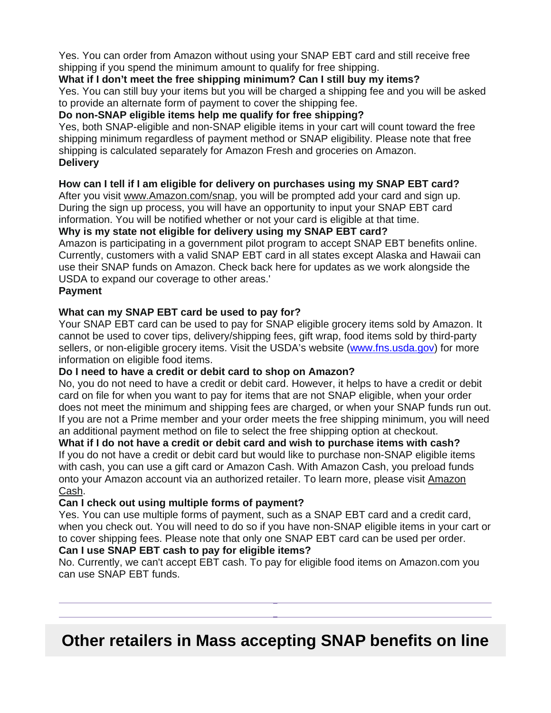Yes. You can order from Amazon without using your SNAP EBT card and still receive free shipping if you spend the minimum amount to qualify for free shipping.

### **What if I don't meet the free shipping minimum? Can I still buy my items?**

Yes. You can still buy your items but you will be charged a shipping fee and you will be asked to provide an alternate form of payment to cover the shipping fee.

### **Do non-SNAP eligible items help me qualify for free shipping?**

Yes, both SNAP-eligible and non-SNAP eligible items in your cart will count toward the free shipping minimum regardless of payment method or SNAP eligibility. Please note that free shipping is calculated separately for Amazon Fresh and groceries on Amazon. **Delivery**

## **How can I tell if I am eligible for delivery on purchases using my SNAP EBT card?**

After you visit www.Amazon.com/snap, you will be prompted add your card and sign up. During the sign up process, you will have an opportunity to input your SNAP EBT card information. You will be notified whether or not your card is eligible at that time.

**Why is my state not eligible for delivery using my SNAP EBT card?**

Amazon is participating in a government pilot program to accept SNAP EBT benefits online. Currently, customers with a valid SNAP EBT card in all states except Alaska and Hawaii can use their SNAP funds on Amazon. Check back here for updates as we work alongside the USDA to expand our coverage to other areas.'

### **Payment**

## **What can my SNAP EBT card be used to pay for?**

Your SNAP EBT card can be used to pay for SNAP eligible grocery items sold by Amazon. It cannot be used to cover tips, delivery/shipping fees, gift wrap, food items sold by third-party sellers, or non-eligible grocery items. Visit the USDA's website (www.fns.usda.gov) for more information on eligible food items.

#### **Do I need to have a credit or debit card to shop on Amazon?**

No, you do not need to have a credit or debit card. However, it helps to have a credit or debit card on file for when you want to pay for items that are not SNAP eligible, when your order does not meet the minimum and shipping fees are charged, or when your SNAP funds run out. If you are not a Prime member and your order meets the free shipping minimum, you will need an additional payment method on file to select the free shipping option at checkout.

**What if I do not have a credit or debit card and wish to purchase items with cash?** If you do not have a credit or debit card but would like to purchase non-SNAP eligible items with cash, you can use a gift card or Amazon Cash. With Amazon Cash, you preload funds onto your Amazon account via an authorized retailer. To learn more, please visit Amazon Cash.

#### **Can I check out using multiple forms of payment?**

Yes. You can use multiple forms of payment, such as a SNAP EBT card and a credit card, when you check out. You will need to do so if you have non-SNAP eligible items in your cart or to cover shipping fees. Please note that only one SNAP EBT card can be used per order. **Can I use SNAP EBT cash to pay for eligible items?**

No. Currently, we can't accept EBT cash. To pay for eligible food items on Amazon.com you can use SNAP EBT funds.

# **Other retailers in Mass accepting SNAP benefits on line**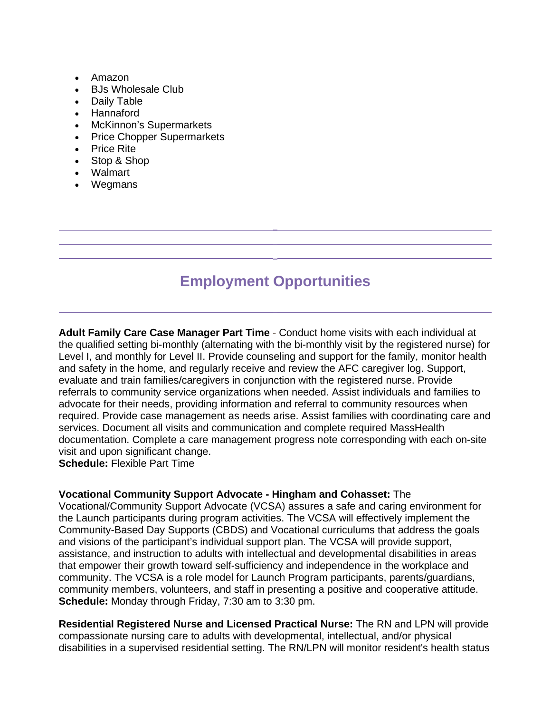- Amazon
- BJs Wholesale Club
- Daily Table
- Hannaford
- McKinnon's Supermarkets
- Price Chopper Supermarkets
- Price Rite
- Stop & Shop
- Walmart
- Wegmans

# **Employment Opportunities**

**Adult Family Care Case Manager Part Time -** Conduct home visits with each individual at the qualified setting bi-monthly (alternating with the bi-monthly visit by the registered nurse) for Level I, and monthly for Level II. Provide counseling and support for the family, monitor health and safety in the home, and regularly receive and review the AFC caregiver log. Support, evaluate and train families/caregivers in conjunction with the registered nurse. Provide referrals to community service organizations when needed. Assist individuals and families to advocate for their needs, providing information and referral to community resources when required. Provide case management as needs arise. Assist families with coordinating care and services. Document all visits and communication and complete required MassHealth documentation. Complete a care management progress note corresponding with each on-site visit and upon significant change.

**Schedule:** Flexible Part Time

#### **Vocational Community Support Advocate - Hingham and Cohasset:** The

Vocational/Community Support Advocate (VCSA) assures a safe and caring environment for the Launch participants during program activities. The VCSA will effectively implement the Community-Based Day Supports (CBDS) and Vocational curriculums that address the goals and visions of the participant's individual support plan. The VCSA will provide support, assistance, and instruction to adults with intellectual and developmental disabilities in areas that empower their growth toward self-sufficiency and independence in the workplace and community. The VCSA is a role model for Launch Program participants, parents/guardians, community members, volunteers, and staff in presenting a positive and cooperative attitude. **Schedule:** Monday through Friday, 7:30 am to 3:30 pm.

**Residential Registered Nurse and Licensed Practical Nurse:** The RN and LPN will provide compassionate nursing care to adults with developmental, intellectual, and/or physical disabilities in a supervised residential setting. The RN/LPN will monitor resident's health status